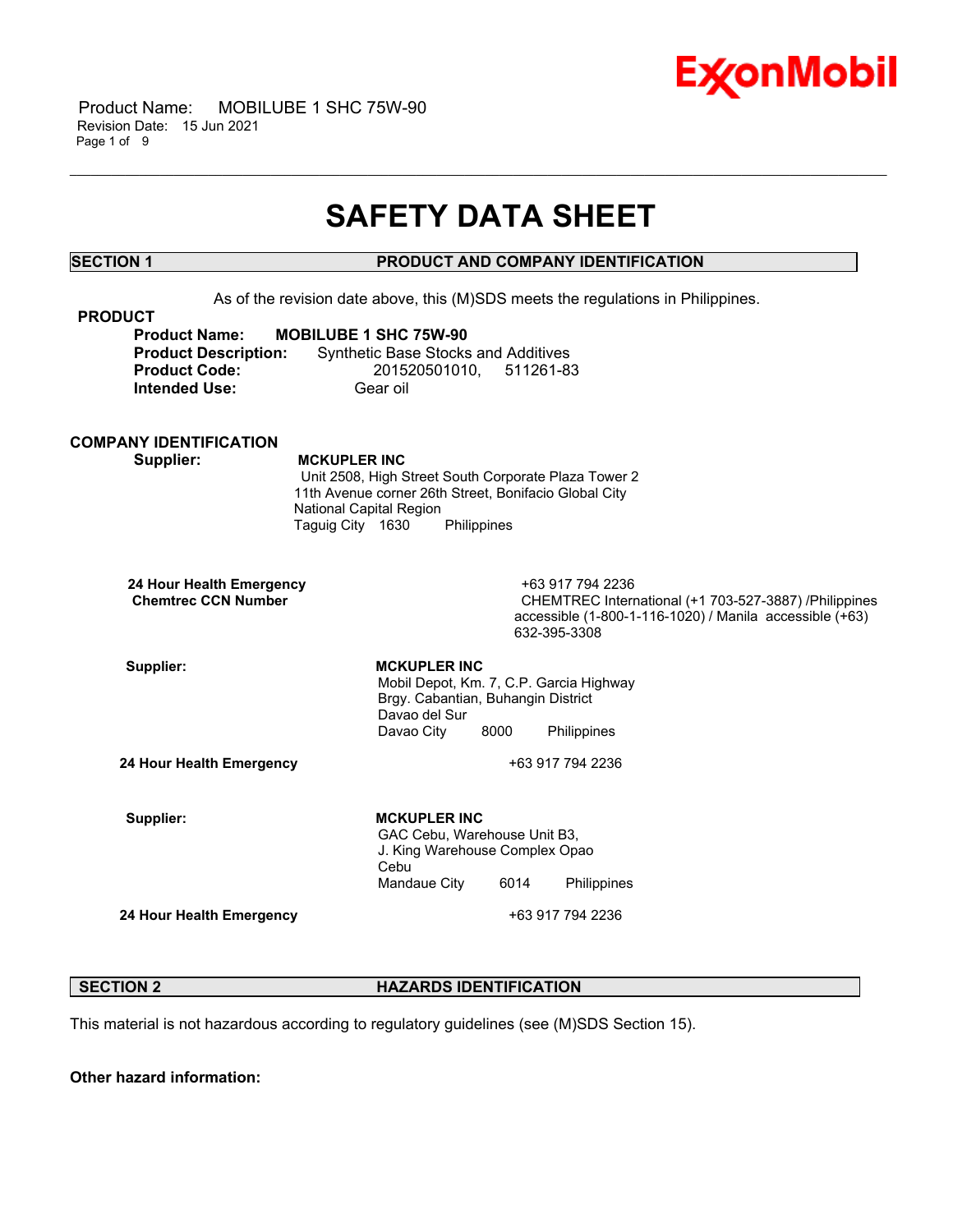

## **SAFETY DATA SHEET**

\_\_\_\_\_\_\_\_\_\_\_\_\_\_\_\_\_\_\_\_\_\_\_\_\_\_\_\_\_\_\_\_\_\_\_\_\_\_\_\_\_\_\_\_\_\_\_\_\_\_\_\_\_\_\_\_\_\_\_\_\_\_\_\_\_\_\_\_\_\_\_\_\_\_\_\_\_\_\_\_\_\_\_\_\_\_\_\_\_\_\_\_\_\_\_\_\_\_\_\_\_\_\_\_\_\_\_\_\_\_\_\_\_\_\_\_\_\_

### **SECTION 1 PRODUCT AND COMPANY IDENTIFICATION**

 As of the revision date above, this (M)SDS meets the regulations in Philippines.  **PRODUCT Product Name: MOBILUBE 1 SHC 75W-90 Product Description:** Synthetic Base Stocks and Additives  **Product Code:** 201520501010, 511261-83 **Intended Use:** Gear oil **COMPANY IDENTIFICATION Supplier: MCKUPLER INC** Unit 2508, High Street South Corporate Plaza Tower 2 11th Avenue corner 26th Street, Bonifacio Global City National Capital Region Taguig City 1630 Philippines  **24 Hour Health Emergency** +63 917 794 2236 CHEMTREC International (+1 703-527-3887) /Philippines accessible (1-800-1-116-1020) / Manila accessible (+63) 632-395-3308 Supplier: **MCKUPLER INC**  Mobil Depot, Km. 7, C.P. Garcia Highway Brgy. Cabantian, Buhangin District Davao del Sur Davao City 8000 Philippines **24 Hour Health Emergency** +63 917 794 2236 Supplier: **MCKUPLER INC**  GAC Cebu, Warehouse Unit B3, J. King Warehouse Complex Opao Cebu Mandaue City 6014 Philippines **24 Hour Health Emergency 124 Four Health Emergency 124 Four Health Emergency** 

#### **SECTION 2 HAZARDS IDENTIFICATION**

This material is not hazardous according to regulatory guidelines (see (M)SDS Section 15).

**Other hazard information:**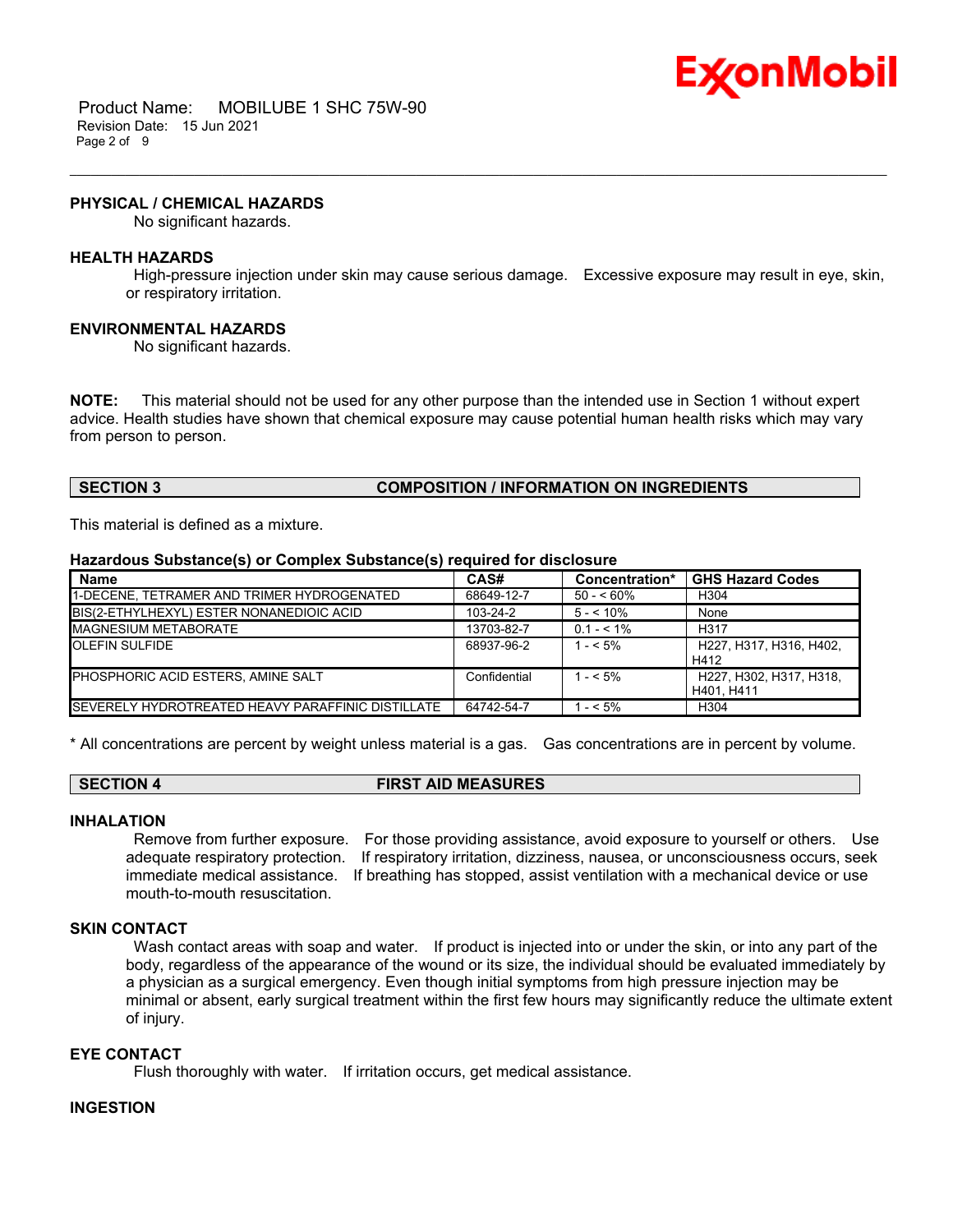

#### **PHYSICAL / CHEMICAL HAZARDS**

No significant hazards.

#### **HEALTH HAZARDS**

 High-pressure injection under skin may cause serious damage. Excessive exposure may result in eye, skin, or respiratory irritation.

\_\_\_\_\_\_\_\_\_\_\_\_\_\_\_\_\_\_\_\_\_\_\_\_\_\_\_\_\_\_\_\_\_\_\_\_\_\_\_\_\_\_\_\_\_\_\_\_\_\_\_\_\_\_\_\_\_\_\_\_\_\_\_\_\_\_\_\_\_\_\_\_\_\_\_\_\_\_\_\_\_\_\_\_\_\_\_\_\_\_\_\_\_\_\_\_\_\_\_\_\_\_\_\_\_\_\_\_\_\_\_\_\_\_\_\_\_\_

#### **ENVIRONMENTAL HAZARDS**

No significant hazards.

**NOTE:** This material should not be used for any other purpose than the intended use in Section 1 without expert advice. Health studies have shown that chemical exposure may cause potential human health risks which may vary from person to person.

#### **SECTION 3 COMPOSITION / INFORMATION ON INGREDIENTS**

This material is defined as a mixture.

#### **Hazardous Substance(s) or Complex Substance(s) required for disclosure**

| <b>Name</b>                                       | CAS#           | Concentration* | <b>GHS Hazard Codes</b>               |
|---------------------------------------------------|----------------|----------------|---------------------------------------|
| 1-DECENE, TETRAMER AND TRIMER HYDROGENATED        | 68649-12-7     | $50 - 60\%$    | H <sub>304</sub>                      |
| BIS(2-ETHYLHEXYL) ESTER NONANEDIOIC ACID          | $103 - 24 - 2$ | $5 - 10\%$     | None                                  |
| <b>IMAGNESIUM METABORATE</b>                      | 13703-82-7     | $0.1 - 5.1\%$  | H <sub>317</sub>                      |
| <b>OLEFIN SULFIDE</b>                             | 68937-96-2     | $1 - 5\%$      | H227, H317, H316, H402.<br>H412       |
| PHOSPHORIC ACID ESTERS, AMINE SALT                | Confidential   | $1 - 5\%$      | H227, H302, H317, H318,<br>H401. H411 |
| SEVERELY HYDROTREATED HEAVY PARAFFINIC DISTILLATE | 64742-54-7     | $1 - 5\%$      | H <sub>304</sub>                      |

\* All concentrations are percent by weight unless material is a gas. Gas concentrations are in percent by volume.

#### **SECTION 4 FIRST AID MEASURES**

#### **INHALATION**

 Remove from further exposure. For those providing assistance, avoid exposure to yourself or others. Use adequate respiratory protection. If respiratory irritation, dizziness, nausea, or unconsciousness occurs, seek immediate medical assistance. If breathing has stopped, assist ventilation with a mechanical device or use mouth-to-mouth resuscitation.

#### **SKIN CONTACT**

Wash contact areas with soap and water. If product is injected into or under the skin, or into any part of the body, regardless of the appearance of the wound or its size, the individual should be evaluated immediately by a physician as a surgical emergency. Even though initial symptoms from high pressure injection may be minimal or absent, early surgical treatment within the first few hours may significantly reduce the ultimate extent of injury.

## **EYE CONTACT**

Flush thoroughly with water. If irritation occurs, get medical assistance.

#### **INGESTION**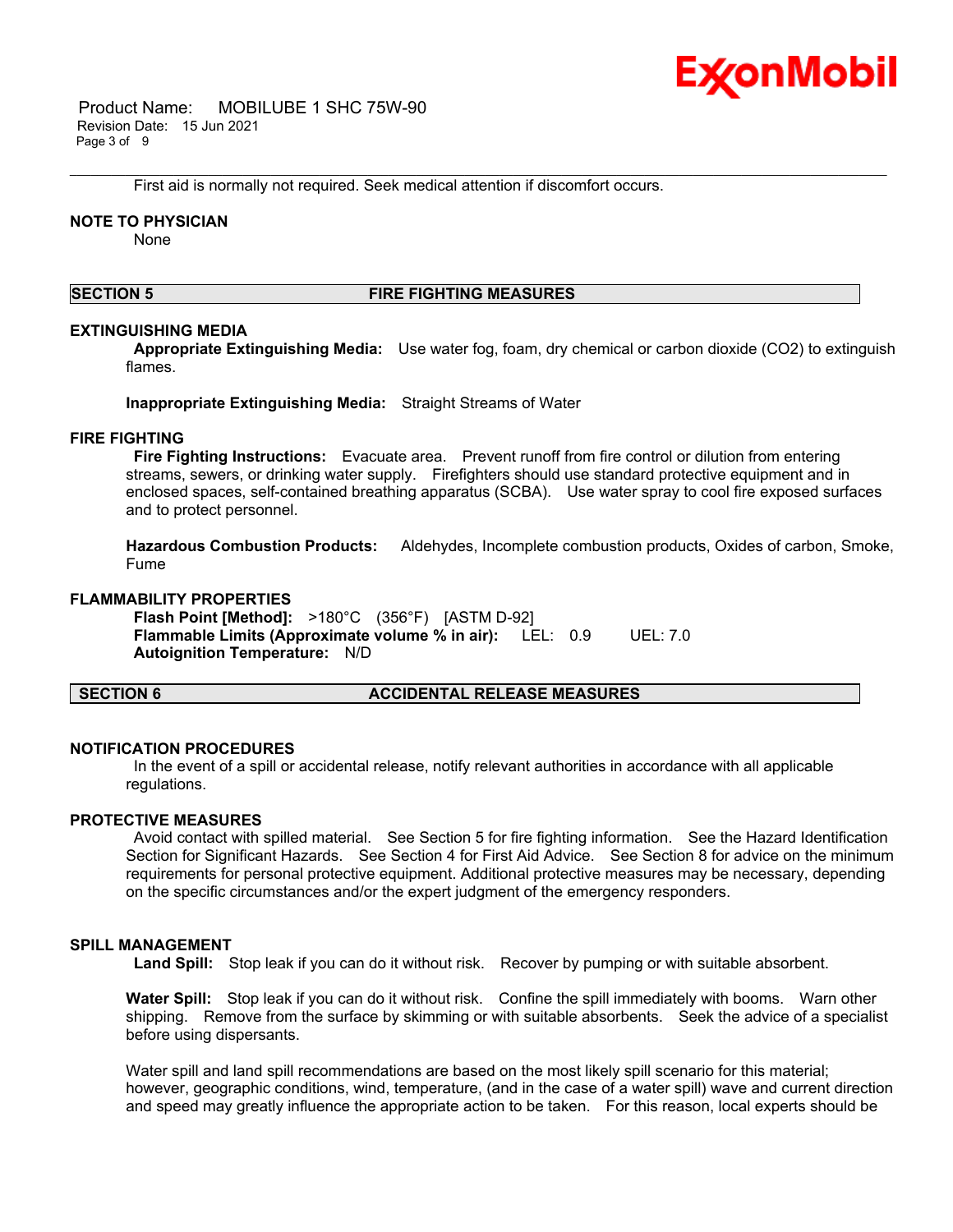

 Product Name: MOBILUBE 1 SHC 75W-90 Revision Date: 15 Jun 2021 Page 3 of 9

First aid is normally not required. Seek medical attention if discomfort occurs.

#### **NOTE TO PHYSICIAN**

None

#### **SECTION 5 FIRE FIGHTING MEASURES**

\_\_\_\_\_\_\_\_\_\_\_\_\_\_\_\_\_\_\_\_\_\_\_\_\_\_\_\_\_\_\_\_\_\_\_\_\_\_\_\_\_\_\_\_\_\_\_\_\_\_\_\_\_\_\_\_\_\_\_\_\_\_\_\_\_\_\_\_\_\_\_\_\_\_\_\_\_\_\_\_\_\_\_\_\_\_\_\_\_\_\_\_\_\_\_\_\_\_\_\_\_\_\_\_\_\_\_\_\_\_\_\_\_\_\_\_\_\_

#### **EXTINGUISHING MEDIA**

 **Appropriate Extinguishing Media:** Use water fog, foam, dry chemical or carbon dioxide (CO2) to extinguish flames.

**Inappropriate Extinguishing Media:** Straight Streams of Water

#### **FIRE FIGHTING**

 **Fire Fighting Instructions:** Evacuate area. Prevent runoff from fire control or dilution from entering streams, sewers, or drinking water supply. Firefighters should use standard protective equipment and in enclosed spaces, self-contained breathing apparatus (SCBA). Use water spray to cool fire exposed surfaces and to protect personnel.

**Hazardous Combustion Products:** Aldehydes, Incomplete combustion products, Oxides of carbon, Smoke, Fume

#### **FLAMMABILITY PROPERTIES**

 **Flash Point [Method]:** >180°C (356°F) [ASTM D-92]  **Flammable Limits (Approximate volume % in air):** LEL: 0.9 UEL: 7.0  **Autoignition Temperature:** N/D

#### **SECTION 6 ACCIDENTAL RELEASE MEASURES**

#### **NOTIFICATION PROCEDURES**

 In the event of a spill or accidental release, notify relevant authorities in accordance with all applicable regulations.

#### **PROTECTIVE MEASURES**

 Avoid contact with spilled material. See Section 5 for fire fighting information. See the Hazard Identification Section for Significant Hazards. See Section 4 for First Aid Advice. See Section 8 for advice on the minimum requirements for personal protective equipment. Additional protective measures may be necessary, depending on the specific circumstances and/or the expert judgment of the emergency responders.

#### **SPILL MANAGEMENT**

 **Land Spill:** Stop leak if you can do it without risk. Recover by pumping or with suitable absorbent.

**Water Spill:** Stop leak if you can do it without risk. Confine the spill immediately with booms. Warn other shipping. Remove from the surface by skimming or with suitable absorbents. Seek the advice of a specialist before using dispersants.

Water spill and land spill recommendations are based on the most likely spill scenario for this material; however, geographic conditions, wind, temperature, (and in the case of a water spill) wave and current direction and speed may greatly influence the appropriate action to be taken. For this reason, local experts should be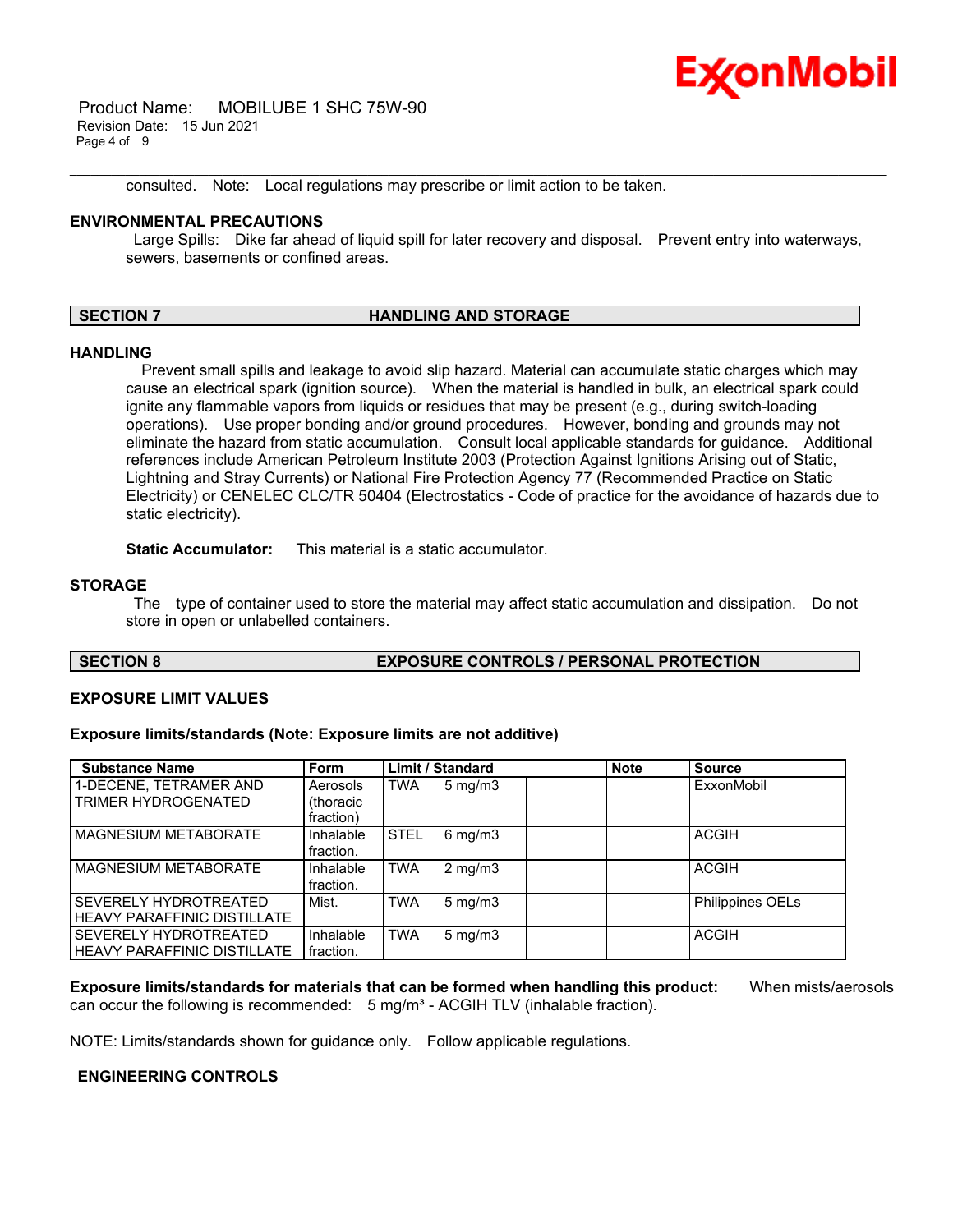

 Product Name: MOBILUBE 1 SHC 75W-90 Revision Date: 15 Jun 2021 Page 4 of 9

consulted. Note: Local regulations may prescribe or limit action to be taken.

#### **ENVIRONMENTAL PRECAUTIONS**

Large Spills: Dike far ahead of liquid spill for later recovery and disposal. Prevent entry into waterways, sewers, basements or confined areas.

\_\_\_\_\_\_\_\_\_\_\_\_\_\_\_\_\_\_\_\_\_\_\_\_\_\_\_\_\_\_\_\_\_\_\_\_\_\_\_\_\_\_\_\_\_\_\_\_\_\_\_\_\_\_\_\_\_\_\_\_\_\_\_\_\_\_\_\_\_\_\_\_\_\_\_\_\_\_\_\_\_\_\_\_\_\_\_\_\_\_\_\_\_\_\_\_\_\_\_\_\_\_\_\_\_\_\_\_\_\_\_\_\_\_\_\_\_\_

#### **SECTION 7 HANDLING AND STORAGE**

#### **HANDLING**

 Prevent small spills and leakage to avoid slip hazard. Material can accumulate static charges which may cause an electrical spark (ignition source). When the material is handled in bulk, an electrical spark could ignite any flammable vapors from liquids or residues that may be present (e.g., during switch-loading operations). Use proper bonding and/or ground procedures. However, bonding and grounds may not eliminate the hazard from static accumulation. Consult local applicable standards for guidance. Additional references include American Petroleum Institute 2003 (Protection Against Ignitions Arising out of Static, Lightning and Stray Currents) or National Fire Protection Agency 77 (Recommended Practice on Static Electricity) or CENELEC CLC/TR 50404 (Electrostatics - Code of practice for the avoidance of hazards due to static electricity).

**Static Accumulator:** This material is a static accumulator.

#### **STORAGE**

 The type of container used to store the material may affect static accumulation and dissipation. Do not store in open or unlabelled containers.

#### **SECTION 8 EXPOSURE CONTROLS / PERSONAL PROTECTION**

#### **EXPOSURE LIMIT VALUES**

#### **Exposure limits/standards (Note: Exposure limits are not additive)**

| <b>Substance Name</b>              | <b>Form</b> |             | <b>Limit / Standard</b> | <b>Note</b> | <b>Source</b>           |
|------------------------------------|-------------|-------------|-------------------------|-------------|-------------------------|
| 1-DECENE, TETRAMER AND             | Aerosols    | <b>TWA</b>  | $5 \text{ mg/m}$ 3      |             | ExxonMobil              |
| TRIMER HYDROGENATED                | (thoracic   |             |                         |             |                         |
|                                    | fraction)   |             |                         |             |                         |
| <b>MAGNESIUM METABORATE</b>        | Inhalable   | <b>STEL</b> | $6 \text{ mg/m}$ 3      |             | <b>ACGIH</b>            |
|                                    | fraction.   |             |                         |             |                         |
| <b>MAGNESIUM METABORATE</b>        | Inhalable   | <b>TWA</b>  | $2 \text{ mg/m}$ 3      |             | <b>ACGIH</b>            |
|                                    | fraction.   |             |                         |             |                         |
| SEVERELY HYDROTREATED              | Mist.       | <b>TWA</b>  | $5 \text{ mg/m}$        |             | <b>Philippines OELs</b> |
| <b>HEAVY PARAFFINIC DISTILLATE</b> |             |             |                         |             |                         |
| SEVERELY HYDROTREATED              | Inhalable   | <b>TWA</b>  | $5$ mg/m $3$            |             | <b>ACGIH</b>            |
| <b>HEAVY PARAFFINIC DISTILLATE</b> | fraction.   |             |                         |             |                         |

**Exposure limits/standards for materials that can be formed when handling this product:** When mists/aerosols can occur the following is recommended:  $5 \text{ mg/m}^3$  - ACGIH TLV (inhalable fraction).

NOTE: Limits/standards shown for guidance only. Follow applicable regulations.

#### **ENGINEERING CONTROLS**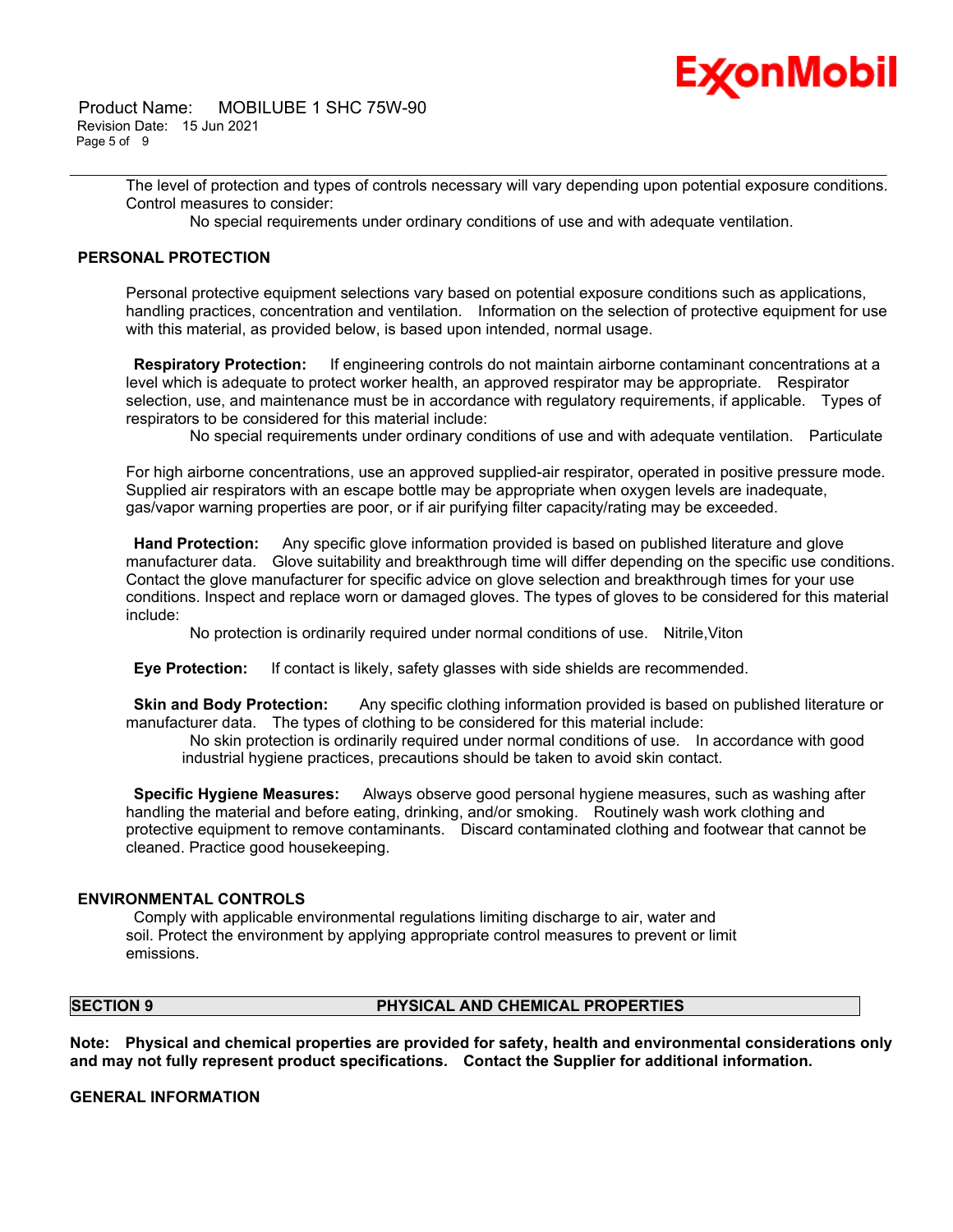

 Product Name: MOBILUBE 1 SHC 75W-90 Revision Date: 15 Jun 2021 Page 5 of 9

> The level of protection and types of controls necessary will vary depending upon potential exposure conditions. Control measures to consider:

No special requirements under ordinary conditions of use and with adequate ventilation.

\_\_\_\_\_\_\_\_\_\_\_\_\_\_\_\_\_\_\_\_\_\_\_\_\_\_\_\_\_\_\_\_\_\_\_\_\_\_\_\_\_\_\_\_\_\_\_\_\_\_\_\_\_\_\_\_\_\_\_\_\_\_\_\_\_\_\_\_\_\_\_\_\_\_\_\_\_\_\_\_\_\_\_\_\_\_\_\_\_\_\_\_\_\_\_\_\_\_\_\_\_\_\_\_\_\_\_\_\_\_\_\_\_\_\_\_\_\_

#### **PERSONAL PROTECTION**

Personal protective equipment selections vary based on potential exposure conditions such as applications, handling practices, concentration and ventilation. Information on the selection of protective equipment for use with this material, as provided below, is based upon intended, normal usage.

 **Respiratory Protection:** If engineering controls do not maintain airborne contaminant concentrations at a level which is adequate to protect worker health, an approved respirator may be appropriate. Respirator selection, use, and maintenance must be in accordance with regulatory requirements, if applicable. Types of respirators to be considered for this material include:

No special requirements under ordinary conditions of use and with adequate ventilation. Particulate

For high airborne concentrations, use an approved supplied-air respirator, operated in positive pressure mode. Supplied air respirators with an escape bottle may be appropriate when oxygen levels are inadequate, gas/vapor warning properties are poor, or if air purifying filter capacity/rating may be exceeded.

 **Hand Protection:** Any specific glove information provided is based on published literature and glove manufacturer data. Glove suitability and breakthrough time will differ depending on the specific use conditions. Contact the glove manufacturer for specific advice on glove selection and breakthrough times for your use conditions. Inspect and replace worn or damaged gloves. The types of gloves to be considered for this material include:

No protection is ordinarily required under normal conditions of use. Nitrile,Viton

 **Eye Protection:** If contact is likely, safety glasses with side shields are recommended.

 **Skin and Body Protection:** Any specific clothing information provided is based on published literature or manufacturer data. The types of clothing to be considered for this material include:

 No skin protection is ordinarily required under normal conditions of use. In accordance with good industrial hygiene practices, precautions should be taken to avoid skin contact.

 **Specific Hygiene Measures:** Always observe good personal hygiene measures, such as washing after handling the material and before eating, drinking, and/or smoking. Routinely wash work clothing and protective equipment to remove contaminants. Discard contaminated clothing and footwear that cannot be cleaned. Practice good housekeeping.

#### **ENVIRONMENTAL CONTROLS**

 Comply with applicable environmental regulations limiting discharge to air, water and soil. Protect the environment by applying appropriate control measures to prevent or limit emissions.

#### **SECTION 9 PHYSICAL AND CHEMICAL PROPERTIES**

**Note: Physical and chemical properties are provided for safety, health and environmental considerations only and may not fully represent product specifications. Contact the Supplier for additional information.**

**GENERAL INFORMATION**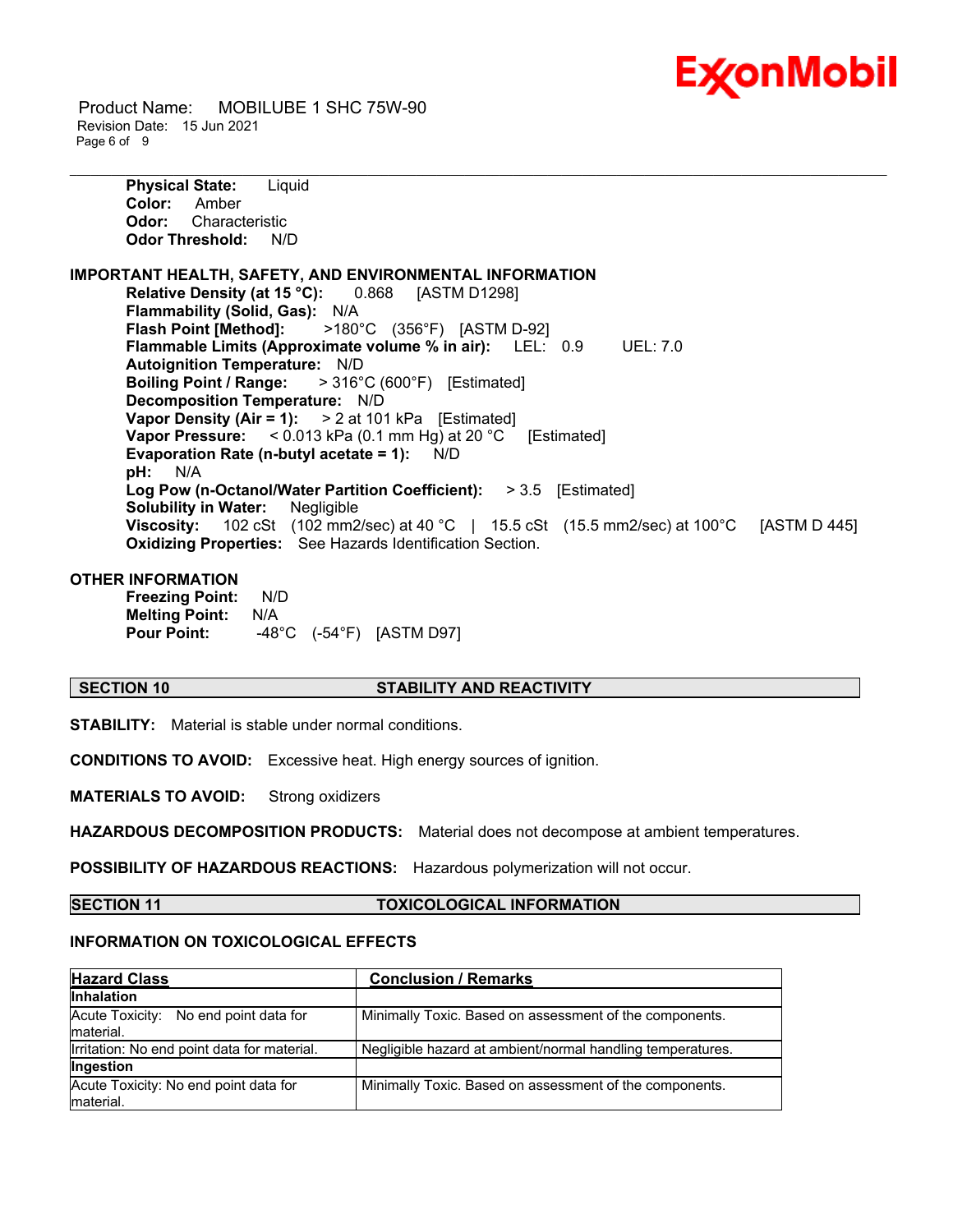

 Product Name: MOBILUBE 1 SHC 75W-90 Revision Date: 15 Jun 2021 Page 6 of 9

> **Physical State:** Liquid **Color:** Amber **Odor:** Characteristic **Odor Threshold:** N/D

**IMPORTANT HEALTH, SAFETY, AND ENVIRONMENTAL INFORMATION Relative Density (at 15 °C):** 0.868 [ASTM D1298] **Flammability (Solid, Gas):** N/A **Flash Point [Method]:** >180°C (356°F) [ASTM D-92] **Flammable Limits (Approximate volume % in air):** LEL: 0.9 UEL: 7.0 **Autoignition Temperature:** N/D **Boiling Point / Range:** > 316°C (600°F) [Estimated] **Decomposition Temperature:** N/D **Vapor Density (Air = 1):** > 2 at 101 kPa [Estimated] **Vapor Pressure:** < 0.013 kPa (0.1 mm Hg) at 20 °C [Estimated] **Evaporation Rate (n-butyl acetate = 1):** N/D **pH:** N/A **Log Pow (n-Octanol/Water Partition Coefficient):** > 3.5 [Estimated] **Solubility in Water:** Negligible **Viscosity:** 102 cSt (102 mm2/sec) at 40 °C | 15.5 cSt (15.5 mm2/sec) at 100 °C [ASTM D 445] **Oxidizing Properties:** See Hazards Identification Section.

\_\_\_\_\_\_\_\_\_\_\_\_\_\_\_\_\_\_\_\_\_\_\_\_\_\_\_\_\_\_\_\_\_\_\_\_\_\_\_\_\_\_\_\_\_\_\_\_\_\_\_\_\_\_\_\_\_\_\_\_\_\_\_\_\_\_\_\_\_\_\_\_\_\_\_\_\_\_\_\_\_\_\_\_\_\_\_\_\_\_\_\_\_\_\_\_\_\_\_\_\_\_\_\_\_\_\_\_\_\_\_\_\_\_\_\_\_\_

#### **OTHER INFORMATION**

**Freezing Point:** N/D **Melting Point:** N/A **Pour Point:** -48°C (-54°F) [ASTM D97]

#### **SECTION 10 STABILITY AND REACTIVITY**

**STABILITY:** Material is stable under normal conditions.

**CONDITIONS TO AVOID:** Excessive heat. High energy sources of ignition.

**MATERIALS TO AVOID:** Strong oxidizers

**HAZARDOUS DECOMPOSITION PRODUCTS:** Material does not decompose at ambient temperatures.

**POSSIBILITY OF HAZARDOUS REACTIONS:** Hazardous polymerization will not occur.

**SECTION 11 TOXICOLOGICAL INFORMATION**

#### **INFORMATION ON TOXICOLOGICAL EFFECTS**

| <b>Hazard Class</b>                                | <b>Conclusion / Remarks</b>                                |
|----------------------------------------------------|------------------------------------------------------------|
| <b>Inhalation</b>                                  |                                                            |
| Acute Toxicity: No end point data for<br>material. | Minimally Toxic. Based on assessment of the components.    |
| Irritation: No end point data for material.        | Negligible hazard at ambient/normal handling temperatures. |
| Ingestion                                          |                                                            |
| Acute Toxicity: No end point data for<br>material. | Minimally Toxic. Based on assessment of the components.    |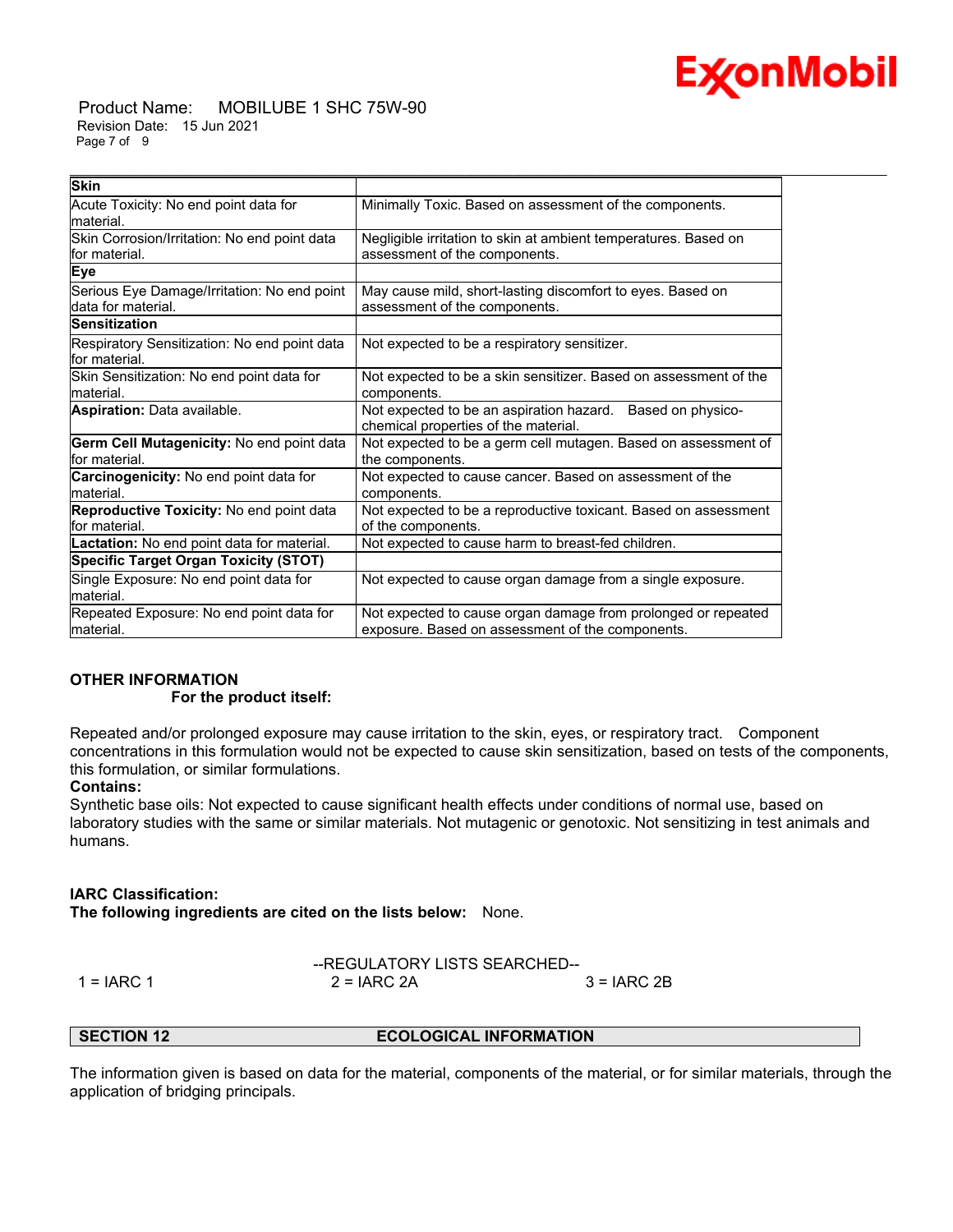# E **⁄xonMobil**

 Product Name: MOBILUBE 1 SHC 75W-90 Revision Date: 15 Jun 2021 Page 7 of 9

| <b>Skin</b>                                        |                                                                  |
|----------------------------------------------------|------------------------------------------------------------------|
| Acute Toxicity: No end point data for<br>material. | Minimally Toxic. Based on assessment of the components.          |
| Skin Corrosion/Irritation: No end point data       | Negligible irritation to skin at ambient temperatures. Based on  |
| lfor material.                                     | assessment of the components.                                    |
| Eye                                                |                                                                  |
| Serious Eye Damage/Irritation: No end point        | May cause mild, short-lasting discomfort to eyes. Based on       |
| data for material.                                 | assessment of the components.                                    |
| <b>Sensitization</b>                               |                                                                  |
| Respiratory Sensitization: No end point data       | Not expected to be a respiratory sensitizer.                     |
| for material.                                      |                                                                  |
| Skin Sensitization: No end point data for          | Not expected to be a skin sensitizer. Based on assessment of the |
| material.                                          | components.                                                      |
| Aspiration: Data available.                        | Not expected to be an aspiration hazard. Based on physico-       |
|                                                    | chemical properties of the material.                             |
| Germ Cell Mutagenicity: No end point data          | Not expected to be a germ cell mutagen. Based on assessment of   |
| lfor material.                                     | the components.                                                  |
| Carcinogenicity: No end point data for             | Not expected to cause cancer. Based on assessment of the         |
| material.                                          | components.                                                      |
| <b>Reproductive Toxicity: No end point data</b>    | Not expected to be a reproductive toxicant. Based on assessment  |
| lfor material.                                     | of the components.                                               |
| <b>Lactation:</b> No end point data for material.  | Not expected to cause harm to breast-fed children.               |
| <b>Specific Target Organ Toxicity (STOT)</b>       |                                                                  |
| Single Exposure: No end point data for             | Not expected to cause organ damage from a single exposure.       |
| material.                                          |                                                                  |
| Repeated Exposure: No end point data for           | Not expected to cause organ damage from prolonged or repeated    |
| lmaterial.                                         | exposure. Based on assessment of the components.                 |

\_\_\_\_\_\_\_\_\_\_\_\_\_\_\_\_\_\_\_\_\_\_\_\_\_\_\_\_\_\_\_\_\_\_\_\_\_\_\_\_\_\_\_\_\_\_\_\_\_\_\_\_\_\_\_\_\_\_\_\_\_\_\_\_\_\_\_\_\_\_\_\_\_\_\_\_\_\_\_\_\_\_\_\_\_\_\_\_\_\_\_\_\_\_\_\_\_\_\_\_\_\_\_\_\_\_\_\_\_\_\_\_\_\_\_\_\_\_

## **OTHER INFORMATION**

#### **For the product itself:**

Repeated and/or prolonged exposure may cause irritation to the skin, eyes, or respiratory tract. Component concentrations in this formulation would not be expected to cause skin sensitization, based on tests of the components, this formulation, or similar formulations.

### **Contains:**

Synthetic base oils: Not expected to cause significant health effects under conditions of normal use, based on laboratory studies with the same or similar materials. Not mutagenic or genotoxic. Not sensitizing in test animals and humans.

### **IARC Classification:**

**The following ingredients are cited on the lists below:** None.

$$
1 = IARC 1
$$
\n
$$
1 = IARC 1
$$
\n
$$
2 = IARC 2A
$$
\n
$$
3 = IARC 2B
$$

ATORY LISTS SEARCHED--

#### **SECTION 12 ECOLOGICAL INFORMATION**

The information given is based on data for the material, components of the material, or for similar materials, through the application of bridging principals.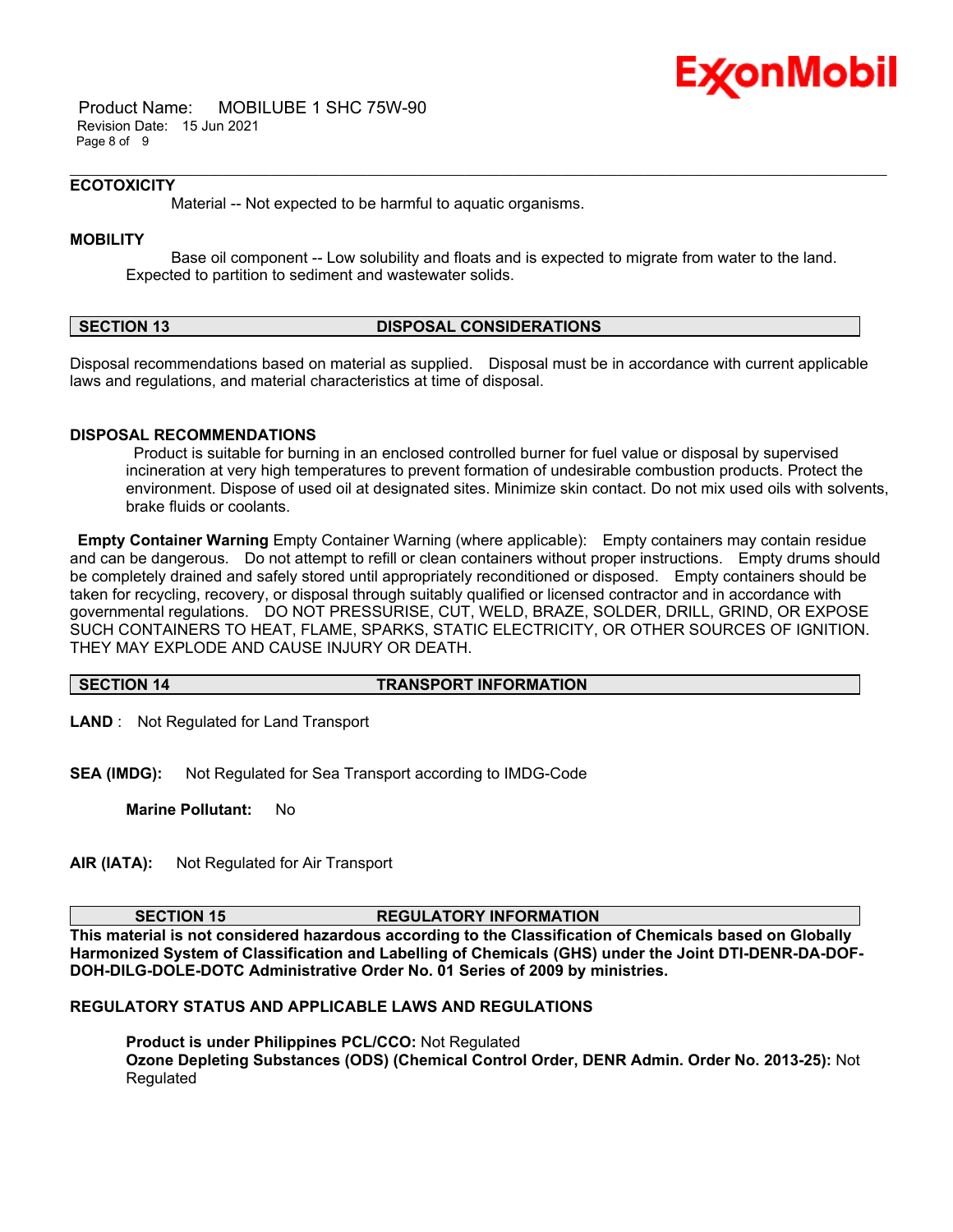

 Product Name: MOBILUBE 1 SHC 75W-90 Revision Date: 15 Jun 2021 Page 8 of 9

#### **ECOTOXICITY**

Material -- Not expected to be harmful to aquatic organisms.

#### **MOBILITY**

 Base oil component -- Low solubility and floats and is expected to migrate from water to the land. Expected to partition to sediment and wastewater solids.

\_\_\_\_\_\_\_\_\_\_\_\_\_\_\_\_\_\_\_\_\_\_\_\_\_\_\_\_\_\_\_\_\_\_\_\_\_\_\_\_\_\_\_\_\_\_\_\_\_\_\_\_\_\_\_\_\_\_\_\_\_\_\_\_\_\_\_\_\_\_\_\_\_\_\_\_\_\_\_\_\_\_\_\_\_\_\_\_\_\_\_\_\_\_\_\_\_\_\_\_\_\_\_\_\_\_\_\_\_\_\_\_\_\_\_\_\_\_

#### **SECTION 13 DISPOSAL CONSIDERATIONS**

Disposal recommendations based on material as supplied. Disposal must be in accordance with current applicable laws and regulations, and material characteristics at time of disposal.

#### **DISPOSAL RECOMMENDATIONS**

 Product is suitable for burning in an enclosed controlled burner for fuel value or disposal by supervised incineration at very high temperatures to prevent formation of undesirable combustion products. Protect the environment. Dispose of used oil at designated sites. Minimize skin contact. Do not mix used oils with solvents, brake fluids or coolants.

**Empty Container Warning** Empty Container Warning (where applicable): Empty containers may contain residue and can be dangerous. Do not attempt to refill or clean containers without proper instructions. Empty drums should be completely drained and safely stored until appropriately reconditioned or disposed. Empty containers should be taken for recycling, recovery, or disposal through suitably qualified or licensed contractor and in accordance with governmental regulations. DO NOT PRESSURISE, CUT, WELD, BRAZE, SOLDER, DRILL, GRIND, OR EXPOSE SUCH CONTAINERS TO HEAT, FLAME, SPARKS, STATIC ELECTRICITY, OR OTHER SOURCES OF IGNITION. THEY MAY EXPLODE AND CAUSE INJURY OR DEATH.

#### **SECTION 14 TRANSPORT INFORMATION**

**LAND** : Not Regulated for Land Transport

**SEA (IMDG):** Not Regulated for Sea Transport according to IMDG-Code

**Marine Pollutant:** No

**AIR (IATA):** Not Regulated for Air Transport

#### **SECTION 15 REGULATORY INFORMATION**

**This material is not considered hazardous according to the Classification of Chemicals based on Globally Harmonized System of Classification and Labelling of Chemicals (GHS) under the Joint DTI-DENR-DA-DOF-DOH-DILG-DOLE-DOTC Administrative Order No. 01 Series of 2009 by ministries.**

#### **REGULATORY STATUS AND APPLICABLE LAWS AND REGULATIONS**

**Product is under Philippines PCL/CCO:** Not Regulated **Ozone Depleting Substances (ODS) (Chemical Control Order, DENR Admin. Order No. 2013-25):** Not Regulated